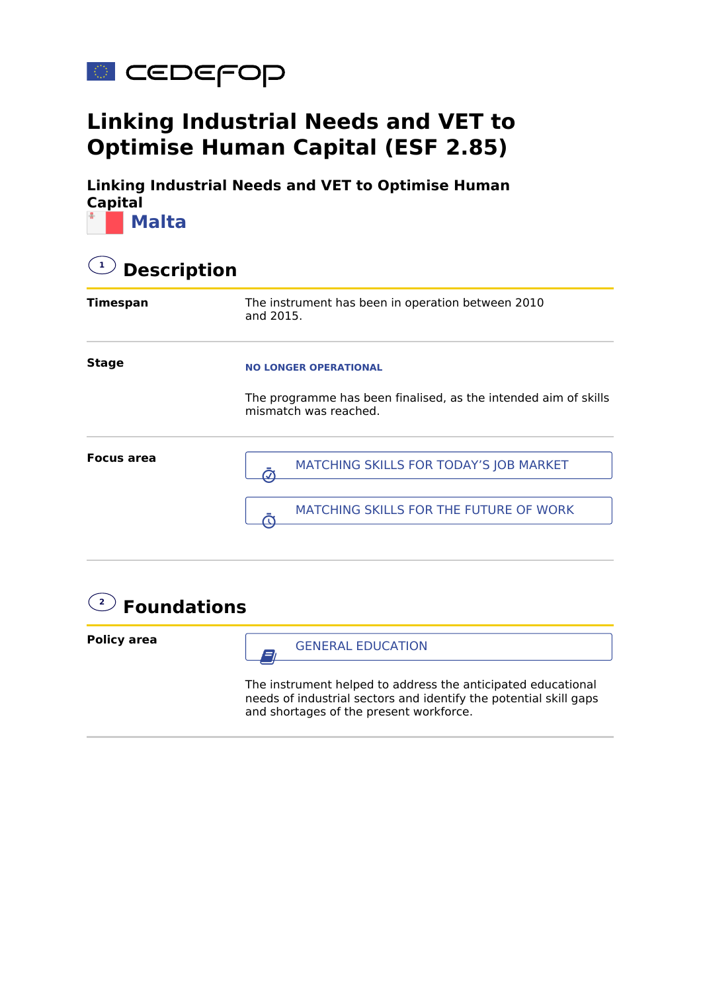

## **Linking Industrial Needs and VET to Optimise Human Capital (ESF 2.85)**

**Linking Industrial Needs and VET to Optimise Human Capital Malta**

| <b>Description</b> |                                                                                                                          |  |
|--------------------|--------------------------------------------------------------------------------------------------------------------------|--|
| Timespan           | The instrument has been in operation between 2010<br>and 2015.                                                           |  |
| <b>Stage</b>       | <b>NO LONGER OPERATIONAL</b><br>The programme has been finalised, as the intended aim of skills<br>mismatch was reached. |  |
| Focus area         | MATCHING SKILLS FOR TODAY'S JOB MARKET<br>MATCHING SKILLS FOR THE FUTURE OF WORK                                         |  |



**Policy area**

 $\mathbf{G}$  GENERAL EDUCATION

The instrument helped to address the anticipated educational needs of industrial sectors and identify the potential skill gaps and shortages of the present workforce.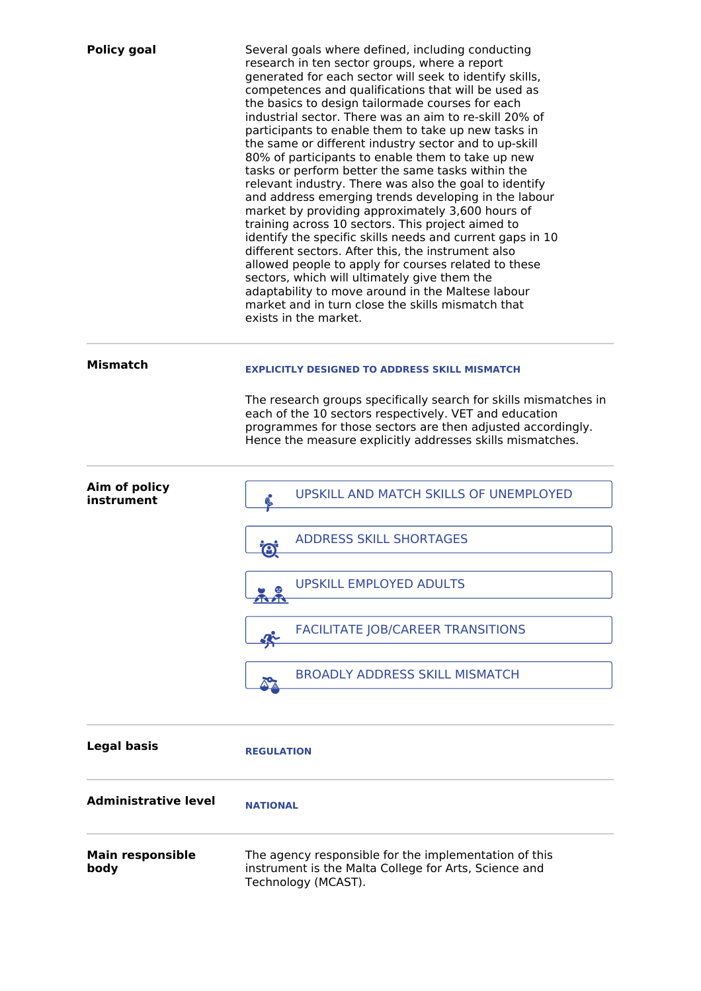| <b>Policy goal</b>              | Several goals where defined, including conducting<br>research in ten sector groups, where a report<br>generated for each sector will seek to identify skills,<br>competences and qualifications that will be used as<br>the basics to design tailormade courses for each<br>industrial sector. There was an aim to re-skill 20% of<br>participants to enable them to take up new tasks in<br>the same or different industry sector and to up-skill<br>80% of participants to enable them to take up new<br>tasks or perform better the same tasks within the<br>relevant industry. There was also the goal to identify<br>and address emerging trends developing in the labour<br>market by providing approximately 3,600 hours of<br>training across 10 sectors. This project aimed to<br>identify the specific skills needs and current gaps in 10<br>different sectors. After this, the instrument also<br>allowed people to apply for courses related to these<br>sectors, which will ultimately give them the<br>adaptability to move around in the Maltese labour<br>market and in turn close the skills mismatch that<br>exists in the market. |
|---------------------------------|-------------------------------------------------------------------------------------------------------------------------------------------------------------------------------------------------------------------------------------------------------------------------------------------------------------------------------------------------------------------------------------------------------------------------------------------------------------------------------------------------------------------------------------------------------------------------------------------------------------------------------------------------------------------------------------------------------------------------------------------------------------------------------------------------------------------------------------------------------------------------------------------------------------------------------------------------------------------------------------------------------------------------------------------------------------------------------------------------------------------------------------------------------|
| <b>Mismatch</b>                 | <b>EXPLICITLY DESIGNED TO ADDRESS SKILL MISMATCH</b>                                                                                                                                                                                                                                                                                                                                                                                                                                                                                                                                                                                                                                                                                                                                                                                                                                                                                                                                                                                                                                                                                                  |
|                                 | The research groups specifically search for skills mismatches in<br>each of the 10 sectors respectively. VET and education<br>programmes for those sectors are then adjusted accordingly.<br>Hence the measure explicitly addresses skills mismatches.                                                                                                                                                                                                                                                                                                                                                                                                                                                                                                                                                                                                                                                                                                                                                                                                                                                                                                |
| Aim of policy                   | <b>UPSKILL AND MATCH SKILLS OF UNEMPLOYED</b>                                                                                                                                                                                                                                                                                                                                                                                                                                                                                                                                                                                                                                                                                                                                                                                                                                                                                                                                                                                                                                                                                                         |
| instrument                      |                                                                                                                                                                                                                                                                                                                                                                                                                                                                                                                                                                                                                                                                                                                                                                                                                                                                                                                                                                                                                                                                                                                                                       |
|                                 | <b>ADDRESS SKILL SHORTAGES</b><br>$\boldsymbol{\Theta}$                                                                                                                                                                                                                                                                                                                                                                                                                                                                                                                                                                                                                                                                                                                                                                                                                                                                                                                                                                                                                                                                                               |
|                                 | <b>UPSKILL EMPLOYED ADULTS</b>                                                                                                                                                                                                                                                                                                                                                                                                                                                                                                                                                                                                                                                                                                                                                                                                                                                                                                                                                                                                                                                                                                                        |
|                                 | <b>FACILITATE JOB/CAREER TRANSITIONS</b><br>倅                                                                                                                                                                                                                                                                                                                                                                                                                                                                                                                                                                                                                                                                                                                                                                                                                                                                                                                                                                                                                                                                                                         |
|                                 | <b>BROADLY ADDRESS SKILL MISMATCH</b>                                                                                                                                                                                                                                                                                                                                                                                                                                                                                                                                                                                                                                                                                                                                                                                                                                                                                                                                                                                                                                                                                                                 |
| <b>Legal basis</b>              | <b>REGULATION</b>                                                                                                                                                                                                                                                                                                                                                                                                                                                                                                                                                                                                                                                                                                                                                                                                                                                                                                                                                                                                                                                                                                                                     |
| <b>Administrative level</b>     | <b>NATIONAL</b>                                                                                                                                                                                                                                                                                                                                                                                                                                                                                                                                                                                                                                                                                                                                                                                                                                                                                                                                                                                                                                                                                                                                       |
| <b>Main responsible</b><br>body | The agency responsible for the implementation of this<br>instrument is the Malta College for Arts, Science and<br>Technology (MCAST).                                                                                                                                                                                                                                                                                                                                                                                                                                                                                                                                                                                                                                                                                                                                                                                                                                                                                                                                                                                                                 |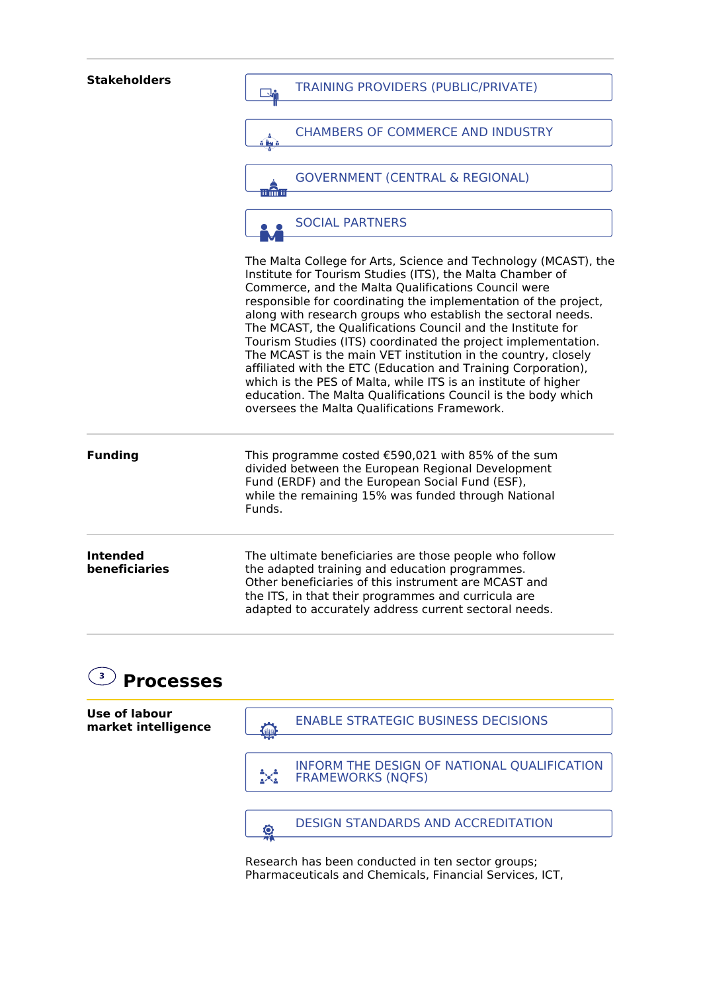| <b>Stakeholders</b>              | <b>TRAINING PROVIDERS (PUBLIC/PRIVATE)</b>                                                                                                                                                                                                                                                                                                                                                                                                                                                                                                                                                                                                                                                                                                                                  |
|----------------------------------|-----------------------------------------------------------------------------------------------------------------------------------------------------------------------------------------------------------------------------------------------------------------------------------------------------------------------------------------------------------------------------------------------------------------------------------------------------------------------------------------------------------------------------------------------------------------------------------------------------------------------------------------------------------------------------------------------------------------------------------------------------------------------------|
|                                  | <b>CHAMBERS OF COMMERCE AND INDUSTRY</b><br>ā ha ā                                                                                                                                                                                                                                                                                                                                                                                                                                                                                                                                                                                                                                                                                                                          |
|                                  | <b>GOVERNMENT (CENTRAL &amp; REGIONAL)</b><br>ii în li                                                                                                                                                                                                                                                                                                                                                                                                                                                                                                                                                                                                                                                                                                                      |
|                                  | <b>SOCIAL PARTNERS</b>                                                                                                                                                                                                                                                                                                                                                                                                                                                                                                                                                                                                                                                                                                                                                      |
|                                  | The Malta College for Arts, Science and Technology (MCAST), the<br>Institute for Tourism Studies (ITS), the Malta Chamber of<br>Commerce, and the Malta Qualifications Council were<br>responsible for coordinating the implementation of the project,<br>along with research groups who establish the sectoral needs.<br>The MCAST, the Qualifications Council and the Institute for<br>Tourism Studies (ITS) coordinated the project implementation.<br>The MCAST is the main VET institution in the country, closely<br>affiliated with the ETC (Education and Training Corporation),<br>which is the PES of Malta, while ITS is an institute of higher<br>education. The Malta Qualifications Council is the body which<br>oversees the Malta Qualifications Framework. |
| <b>Funding</b>                   | This programme costed €590,021 with 85% of the sum<br>divided between the European Regional Development<br>Fund (ERDF) and the European Social Fund (ESF),<br>while the remaining 15% was funded through National<br>Funds.                                                                                                                                                                                                                                                                                                                                                                                                                                                                                                                                                 |
| <b>Intended</b><br>beneficiaries | The ultimate beneficiaries are those people who follow<br>the adapted training and education programmes.<br>Other beneficiaries of this instrument are MCAST and<br>the ITS, in that their programmes and curricula are<br>adapted to accurately address current sectoral needs.                                                                                                                                                                                                                                                                                                                                                                                                                                                                                            |
|                                  |                                                                                                                                                                                                                                                                                                                                                                                                                                                                                                                                                                                                                                                                                                                                                                             |



Research has been conducted in ten sector groups; Pharmaceuticals and Chemicals, Financial Services, ICT,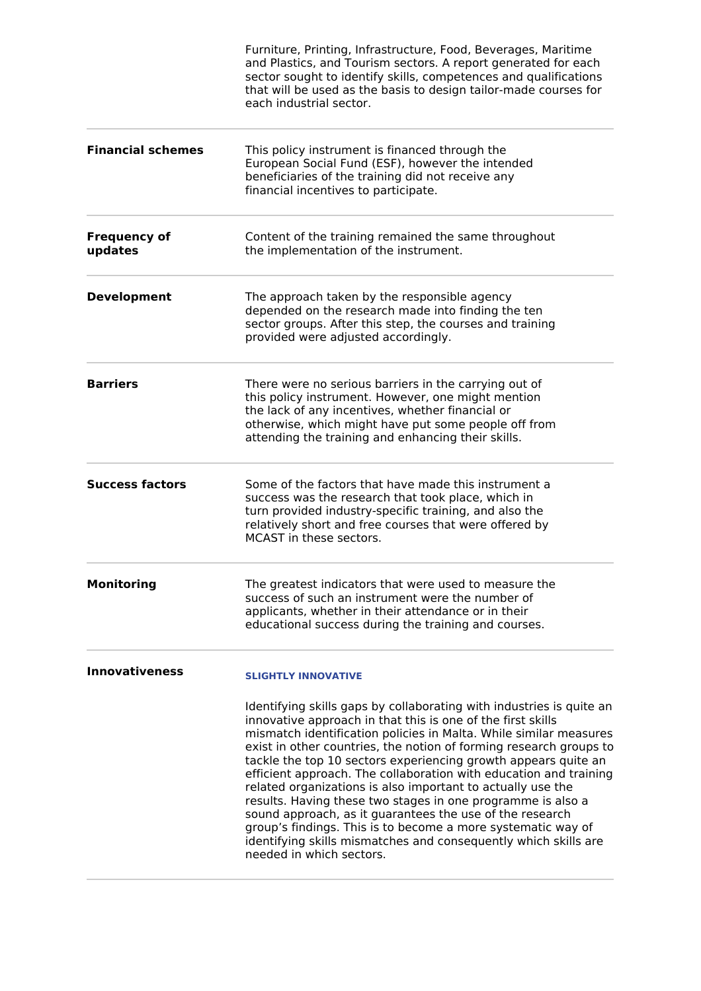|                                | Furniture, Printing, Infrastructure, Food, Beverages, Maritime<br>and Plastics, and Tourism sectors. A report generated for each<br>sector sought to identify skills, competences and qualifications<br>that will be used as the basis to design tailor-made courses for<br>each industrial sector.                                                                                                                                                                                                                                                                                                                                                                                                                                                                            |
|--------------------------------|--------------------------------------------------------------------------------------------------------------------------------------------------------------------------------------------------------------------------------------------------------------------------------------------------------------------------------------------------------------------------------------------------------------------------------------------------------------------------------------------------------------------------------------------------------------------------------------------------------------------------------------------------------------------------------------------------------------------------------------------------------------------------------|
| <b>Financial schemes</b>       | This policy instrument is financed through the<br>European Social Fund (ESF), however the intended<br>beneficiaries of the training did not receive any<br>financial incentives to participate.                                                                                                                                                                                                                                                                                                                                                                                                                                                                                                                                                                                |
| <b>Frequency of</b><br>updates | Content of the training remained the same throughout<br>the implementation of the instrument.                                                                                                                                                                                                                                                                                                                                                                                                                                                                                                                                                                                                                                                                                  |
| <b>Development</b>             | The approach taken by the responsible agency<br>depended on the research made into finding the ten<br>sector groups. After this step, the courses and training<br>provided were adjusted accordingly.                                                                                                                                                                                                                                                                                                                                                                                                                                                                                                                                                                          |
| <b>Barriers</b>                | There were no serious barriers in the carrying out of<br>this policy instrument. However, one might mention<br>the lack of any incentives, whether financial or<br>otherwise, which might have put some people off from<br>attending the training and enhancing their skills.                                                                                                                                                                                                                                                                                                                                                                                                                                                                                                  |
| <b>Success factors</b>         | Some of the factors that have made this instrument a<br>success was the research that took place, which in<br>turn provided industry-specific training, and also the<br>relatively short and free courses that were offered by<br>MCAST in these sectors.                                                                                                                                                                                                                                                                                                                                                                                                                                                                                                                      |
| <b>Monitoring</b>              | The greatest indicators that were used to measure the<br>success of such an instrument were the number of<br>applicants, whether in their attendance or in their<br>educational success during the training and courses.                                                                                                                                                                                                                                                                                                                                                                                                                                                                                                                                                       |
| <b>Innovativeness</b>          | <b>SLIGHTLY INNOVATIVE</b>                                                                                                                                                                                                                                                                                                                                                                                                                                                                                                                                                                                                                                                                                                                                                     |
|                                | Identifying skills gaps by collaborating with industries is quite an<br>innovative approach in that this is one of the first skills<br>mismatch identification policies in Malta. While similar measures<br>exist in other countries, the notion of forming research groups to<br>tackle the top 10 sectors experiencing growth appears quite an<br>efficient approach. The collaboration with education and training<br>related organizations is also important to actually use the<br>results. Having these two stages in one programme is also a<br>sound approach, as it guarantees the use of the research<br>group's findings. This is to become a more systematic way of<br>identifying skills mismatches and consequently which skills are<br>needed in which sectors. |